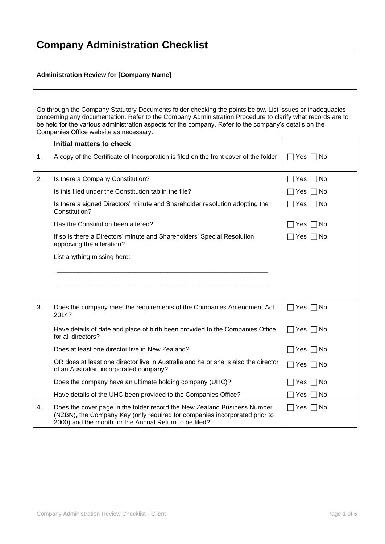## **Administration Review for [Company Name]**

Go through the Company Statutory Documents folder checking the points below. List issues or inadequacies concerning any documentation. Refer to the Company Administration Procedure to clarify what records are to be held for the various administration aspects for the company. Refer to the company's details on the Companies Office website as necessary.

|    | Initial matters to check                                                                                                                                                                                         |                     |
|----|------------------------------------------------------------------------------------------------------------------------------------------------------------------------------------------------------------------|---------------------|
| 1. | A copy of the Certificate of Incorporation is filed on the front cover of the folder                                                                                                                             | Yes<br>– I No       |
| 2. | Is there a Company Constitution?                                                                                                                                                                                 | No<br>Yes           |
|    | Is this filed under the Constitution tab in the file?                                                                                                                                                            | No.<br>Yes          |
|    | Is there a signed Directors' minute and Shareholder resolution adopting the<br>Constitution?                                                                                                                     | ∏ No<br>∣Yes        |
|    | Has the Constitution been altered?                                                                                                                                                                               | No<br>Yes           |
|    | If so is there a Directors' minute and Shareholders' Special Resolution<br>approving the alteration?                                                                                                             | $\sqcap$ No<br>∃Yes |
|    | List anything missing here:                                                                                                                                                                                      |                     |
|    |                                                                                                                                                                                                                  |                     |
|    |                                                                                                                                                                                                                  |                     |
|    |                                                                                                                                                                                                                  |                     |
| 3. | Does the company meet the requirements of the Companies Amendment Act<br>2014?                                                                                                                                   | Yes<br>□No          |
|    | Have details of date and place of birth been provided to the Companies Office<br>for all directors?                                                                                                              | Yes  <br>□No        |
|    | Does at least one director live in New Zealand?                                                                                                                                                                  | ∏No<br>Yes          |
|    | OR does at least one director live in Australia and he or she is also the director<br>of an Australian incorporated company?                                                                                     | ∏No<br>∏ Yes        |
|    | Does the company have an ultimate holding company (UHC)?                                                                                                                                                         | No<br>Yes           |
|    | Have details of the UHC been provided to the Companies Office?                                                                                                                                                   | No<br>Yes           |
| 4. | Does the cover page in the folder record the New Zealand Business Number<br>(NZBN), the Company Key (only required for companies incorporated prior to<br>2000) and the month for the Annual Return to be filed? | No<br>Yes           |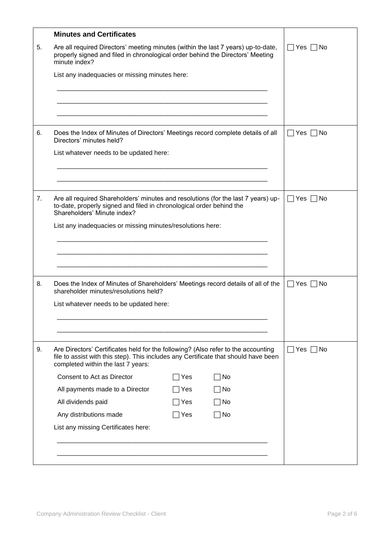|    | <b>Minutes and Certificates</b>                                                                                                                                                                                |                               |
|----|----------------------------------------------------------------------------------------------------------------------------------------------------------------------------------------------------------------|-------------------------------|
| 5. | Are all required Directors' meeting minutes (within the last 7 years) up-to-date,<br>properly signed and filed in chronological order behind the Directors' Meeting<br>minute index?                           | Yes $\Box$ No<br>$\mathsf{L}$ |
|    | List any inadequacies or missing minutes here:                                                                                                                                                                 |                               |
|    |                                                                                                                                                                                                                |                               |
|    |                                                                                                                                                                                                                |                               |
|    |                                                                                                                                                                                                                |                               |
| 6. | Does the Index of Minutes of Directors' Meetings record complete details of all<br>Directors' minutes held?                                                                                                    | Yes     No<br>$\mathsf{L}$    |
|    | List whatever needs to be updated here:                                                                                                                                                                        |                               |
|    |                                                                                                                                                                                                                |                               |
|    |                                                                                                                                                                                                                |                               |
| 7. | Are all required Shareholders' minutes and resolutions (for the last 7 years) up-<br>to-date, properly signed and filed in chronological order behind the<br>Shareholders' Minute index?                       | Yes $\Box$ No<br>$\mathsf{L}$ |
|    | List any inadequacies or missing minutes/resolutions here:                                                                                                                                                     |                               |
|    |                                                                                                                                                                                                                |                               |
|    |                                                                                                                                                                                                                |                               |
|    |                                                                                                                                                                                                                |                               |
| 8. | Does the Index of Minutes of Shareholders' Meetings record details of all of the<br>shareholder minutes/resolutions held?                                                                                      | $Yes \mid \text{No}$          |
|    | List whatever needs to be updated here:                                                                                                                                                                        |                               |
|    |                                                                                                                                                                                                                |                               |
|    |                                                                                                                                                                                                                |                               |
| 9. | Are Directors' Certificates held for the following? (Also refer to the accounting<br>file to assist with this step). This includes any Certificate that should have been<br>completed within the last 7 years: | Yes $\Box$ No                 |
|    | Consent to Act as Director<br>No<br>∃Yes                                                                                                                                                                       |                               |
|    | All payments made to a Director<br>No<br> Yes                                                                                                                                                                  |                               |
|    | All dividends paid<br>No<br>Yes                                                                                                                                                                                |                               |
|    | Any distributions made<br>No<br>Yes                                                                                                                                                                            |                               |
|    | List any missing Certificates here:                                                                                                                                                                            |                               |
|    |                                                                                                                                                                                                                |                               |
|    |                                                                                                                                                                                                                |                               |
|    |                                                                                                                                                                                                                |                               |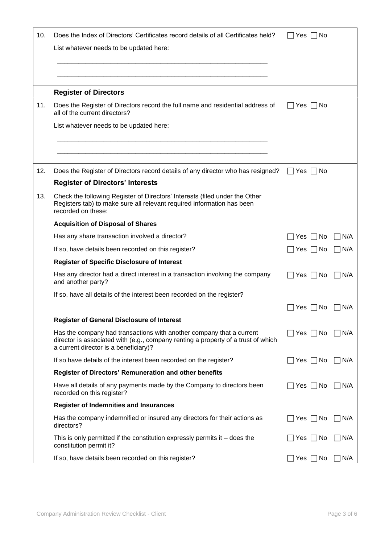| 10.<br>11. | Does the Index of Directors' Certificates record details of all Certificates held?<br>List whatever needs to be updated here:<br><b>Register of Directors</b><br>Does the Register of Directors record the full name and residential address of | Yes I<br>⊟ No<br>Yes    No         |
|------------|-------------------------------------------------------------------------------------------------------------------------------------------------------------------------------------------------------------------------------------------------|------------------------------------|
|            | all of the current directors?<br>List whatever needs to be updated here:                                                                                                                                                                        |                                    |
| 12.        | Does the Register of Directors record details of any director who has resigned?                                                                                                                                                                 | No<br>Yes.                         |
| 13.        | <b>Register of Directors' Interests</b><br>Check the following Register of Directors' Interests (filed under the Other<br>Registers tab) to make sure all relevant required information has been<br>recorded on these:                          |                                    |
|            | <b>Acquisition of Disposal of Shares</b>                                                                                                                                                                                                        |                                    |
|            | Has any share transaction involved a director?                                                                                                                                                                                                  | N/A<br>Yes:<br>∣No                 |
|            | If so, have details been recorded on this register?                                                                                                                                                                                             | N/A<br>Yes    No<br>$\blacksquare$ |
|            | <b>Register of Specific Disclosure of Interest</b>                                                                                                                                                                                              |                                    |
|            | Has any director had a direct interest in a transaction involving the company<br>and another party?                                                                                                                                             | ∏No<br>N/A<br>Yes                  |
|            | If so, have all details of the interest been recorded on the register?                                                                                                                                                                          |                                    |
|            |                                                                                                                                                                                                                                                 | N/A<br>Yes<br>N0                   |
|            | <b>Register of General Disclosure of Interest</b>                                                                                                                                                                                               |                                    |
|            | Has the company had transactions with another company that a current<br>director is associated with (e.g., company renting a property of a trust of which<br>a current director is a beneficiary)?                                              | N/A<br>Yes  <br>∣No                |
|            | If so have details of the interest been recorded on the register?                                                                                                                                                                               | N/A<br>Yes<br>No.                  |
|            | <b>Register of Directors' Remuneration and other benefits</b>                                                                                                                                                                                   |                                    |
|            | Have all details of any payments made by the Company to directors been<br>recorded on this register?                                                                                                                                            | ∏No<br>N/A<br>Yes:                 |
|            | <b>Register of Indemnities and Insurances</b>                                                                                                                                                                                                   |                                    |
|            | Has the company indemnified or insured any directors for their actions as<br>directors?                                                                                                                                                         | ∏No<br>N/A<br>Yes                  |
|            | This is only permitted if the constitution expressly permits it $-$ does the<br>constitution permit it?                                                                                                                                         | N/A<br>Yes<br>∣No                  |
|            | If so, have details been recorded on this register?                                                                                                                                                                                             | No<br>N/A<br>Yes                   |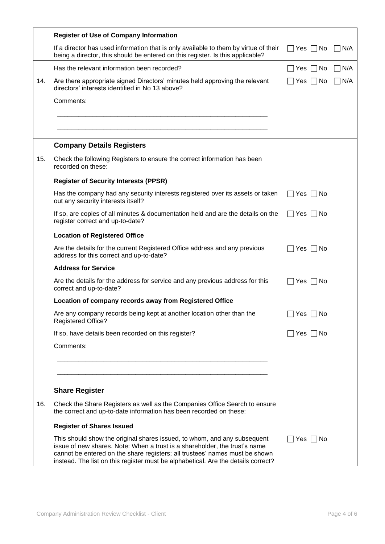|     | <b>Register of Use of Company Information</b>                                                                                                                                                                                                                                                                              |                      |      |
|-----|----------------------------------------------------------------------------------------------------------------------------------------------------------------------------------------------------------------------------------------------------------------------------------------------------------------------------|----------------------|------|
|     | If a director has used information that is only available to them by virtue of their<br>being a director, this should be entered on this register. Is this applicable?                                                                                                                                                     | $\Box$ Yes $\Box$ No | ∏N/A |
|     | Has the relevant information been recorded?                                                                                                                                                                                                                                                                                | No<br>Yes            | N/A  |
| 14. | Are there appropriate signed Directors' minutes held approving the relevant<br>directors' interests identified in No 13 above?                                                                                                                                                                                             | $\sqcap$ No<br>∏ Yes | N/A  |
|     | Comments:                                                                                                                                                                                                                                                                                                                  |                      |      |
|     |                                                                                                                                                                                                                                                                                                                            |                      |      |
|     |                                                                                                                                                                                                                                                                                                                            |                      |      |
|     | <b>Company Details Registers</b>                                                                                                                                                                                                                                                                                           |                      |      |
| 15. | Check the following Registers to ensure the correct information has been<br>recorded on these:                                                                                                                                                                                                                             |                      |      |
|     | <b>Register of Security Interests (PPSR)</b>                                                                                                                                                                                                                                                                               |                      |      |
|     | Has the company had any security interests registered over its assets or taken<br>out any security interests itself?                                                                                                                                                                                                       | $\Box$ Yes [<br>□No  |      |
|     | If so, are copies of all minutes & documentation held and are the details on the<br>register correct and up-to-date?                                                                                                                                                                                                       | $\Box$ Yes<br>No     |      |
|     | <b>Location of Registered Office</b>                                                                                                                                                                                                                                                                                       |                      |      |
|     | Are the details for the current Registered Office address and any previous<br>address for this correct and up-to-date?                                                                                                                                                                                                     | ∏ Yes  [<br>□No      |      |
|     | <b>Address for Service</b>                                                                                                                                                                                                                                                                                                 |                      |      |
|     | Are the details for the address for service and any previous address for this<br>correct and up-to-date?                                                                                                                                                                                                                   | ∏ Yes I<br>No        |      |
|     | Location of company records away from Registered Office                                                                                                                                                                                                                                                                    |                      |      |
|     | Are any company records being kept at another location other than the<br><b>Registered Office?</b>                                                                                                                                                                                                                         | Yes<br>No            |      |
|     | If so, have details been recorded on this register?                                                                                                                                                                                                                                                                        | $\Box$ Yes $\Box$ No |      |
|     | Comments:                                                                                                                                                                                                                                                                                                                  |                      |      |
|     |                                                                                                                                                                                                                                                                                                                            |                      |      |
|     |                                                                                                                                                                                                                                                                                                                            |                      |      |
|     | <b>Share Register</b>                                                                                                                                                                                                                                                                                                      |                      |      |
| 16. | Check the Share Registers as well as the Companies Office Search to ensure<br>the correct and up-to-date information has been recorded on these:                                                                                                                                                                           |                      |      |
|     | <b>Register of Shares Issued</b>                                                                                                                                                                                                                                                                                           |                      |      |
|     | This should show the original shares issued, to whom, and any subsequent<br>issue of new shares. Note: When a trust is a shareholder, the trust's name<br>cannot be entered on the share registers; all trustees' names must be shown<br>instead. The list on this register must be alphabetical. Are the details correct? | ̄  Yes  <br>l No     |      |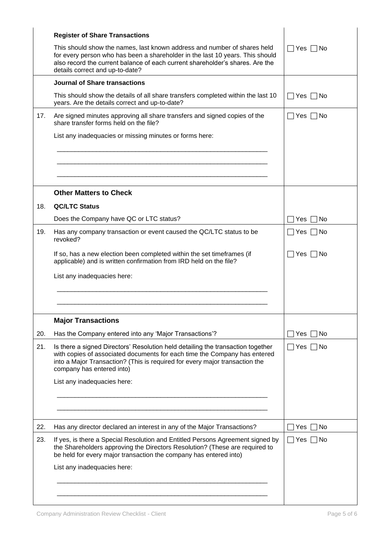|     | <b>Register of Share Transactions</b>                                                                                                                                                                                                                                         |                      |
|-----|-------------------------------------------------------------------------------------------------------------------------------------------------------------------------------------------------------------------------------------------------------------------------------|----------------------|
|     | This should show the names, last known address and number of shares held<br>for every person who has been a shareholder in the last 10 years. This should<br>also record the current balance of each current shareholder's shares. Are the<br>details correct and up-to-date? | $\Box$ Yes $\Box$ No |
|     | <b>Journal of Share transactions</b>                                                                                                                                                                                                                                          |                      |
|     | This should show the details of all share transfers completed within the last 10<br>years. Are the details correct and up-to-date?                                                                                                                                            | Yes    No            |
| 17. | Are signed minutes approving all share transfers and signed copies of the<br>share transfer forms held on the file?                                                                                                                                                           | $\Box$ Yes $\Box$ No |
|     | List any inadequacies or missing minutes or forms here:                                                                                                                                                                                                                       |                      |
|     |                                                                                                                                                                                                                                                                               |                      |
|     | <b>Other Matters to Check</b>                                                                                                                                                                                                                                                 |                      |
| 18. | <b>QC/LTC Status</b>                                                                                                                                                                                                                                                          |                      |
|     | Does the Company have QC or LTC status?                                                                                                                                                                                                                                       | No<br>Yes.           |
| 19. | Has any company transaction or event caused the QC/LTC status to be                                                                                                                                                                                                           | □No<br>∣Yes I        |
|     | revoked?                                                                                                                                                                                                                                                                      |                      |
|     | If so, has a new election been completed within the set timeframes (if<br>applicable) and is written confirmation from IRD held on the file?                                                                                                                                  | ∣Yes I<br>l No       |
|     | List any inadequacies here:                                                                                                                                                                                                                                                   |                      |
|     |                                                                                                                                                                                                                                                                               |                      |
|     |                                                                                                                                                                                                                                                                               |                      |
|     | <b>Major Transactions</b>                                                                                                                                                                                                                                                     |                      |
| 20. | Has the Company entered into any 'Major Transactions'?                                                                                                                                                                                                                        | No<br>Yes            |
| 21. | Is there a signed Directors' Resolution held detailing the transaction together                                                                                                                                                                                               | No<br>∣Yes           |
|     | with copies of associated documents for each time the Company has entered<br>into a Major Transaction? (This is required for every major transaction the<br>company has entered into)                                                                                         |                      |
|     | List any inadequacies here:                                                                                                                                                                                                                                                   |                      |
|     |                                                                                                                                                                                                                                                                               |                      |
|     |                                                                                                                                                                                                                                                                               |                      |
| 22. | Has any director declared an interest in any of the Major Transactions?                                                                                                                                                                                                       | No<br>Yes            |
| 23. | If yes, is there a Special Resolution and Entitled Persons Agreement signed by<br>the Shareholders approving the Directors Resolution? (These are required to<br>be held for every major transaction the company has entered into)                                            | Yes<br>No            |
|     | List any inadequacies here:                                                                                                                                                                                                                                                   |                      |
|     |                                                                                                                                                                                                                                                                               |                      |
|     |                                                                                                                                                                                                                                                                               |                      |